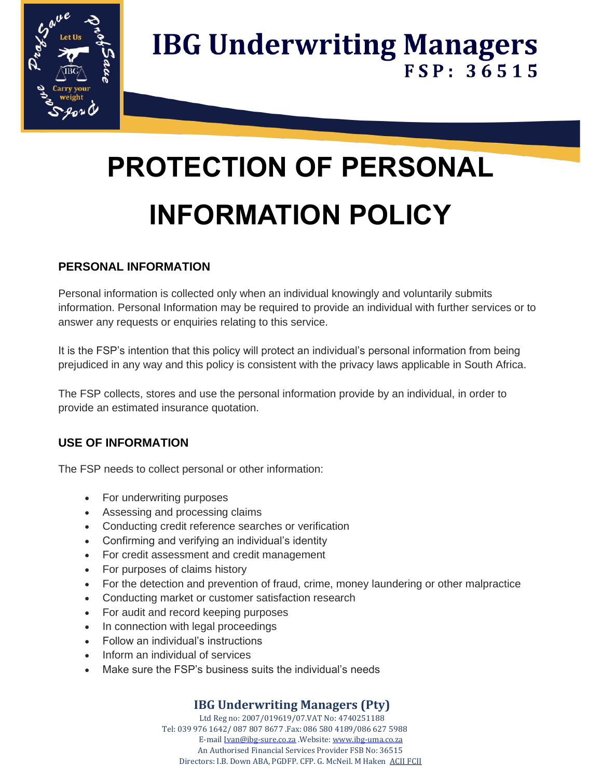

# **PROTECTION OF PERSONAL INFORMATION POLICY**

### **PERSONAL INFORMATION**

Personal information is collected only when an individual knowingly and voluntarily submits information. Personal Information may be required to provide an individual with further services or to answer any requests or enquiries relating to this service.

It is the FSP's intention that this policy will protect an individual's personal information from being prejudiced in any way and this policy is consistent with the privacy laws applicable in South Africa.

The FSP collects, stores and use the personal information provide by an individual, in order to provide an estimated insurance quotation.

#### **USE OF INFORMATION**

The FSP needs to collect personal or other information:

- For underwriting purposes
- Assessing and processing claims
- Conducting credit reference searches or verification
- Confirming and verifying an individual's identity
- For credit assessment and credit management
- For purposes of claims history
- For the detection and prevention of fraud, crime, money laundering or other malpractice
- Conducting market or customer satisfaction research
- For audit and record keeping purposes
- In connection with legal proceedings
- Follow an individual's instructions
- Inform an individual of services
- Make sure the FSP's business suits the individual's needs

### **IBG Underwriting Managers (Pty)**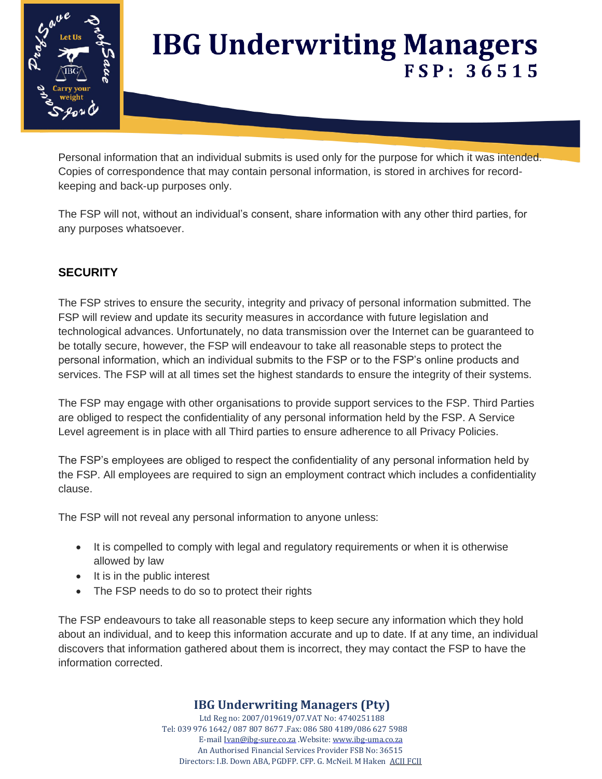

Personal information that an individual submits is used only for the purpose for which it was intended. Copies of correspondence that may contain personal information, is stored in archives for recordkeeping and back-up purposes only.

The FSP will not, without an individual's consent, share information with any other third parties, for any purposes whatsoever.

# **SECURITY**

The FSP strives to ensure the security, integrity and privacy of personal information submitted. The FSP will review and update its security measures in accordance with future legislation and technological advances. Unfortunately, no data transmission over the Internet can be guaranteed to be totally secure, however, the FSP will endeavour to take all reasonable steps to protect the personal information, which an individual submits to the FSP or to the FSP's online products and services. The FSP will at all times set the highest standards to ensure the integrity of their systems.

The FSP may engage with other organisations to provide support services to the FSP. Third Parties are obliged to respect the confidentiality of any personal information held by the FSP. A Service Level agreement is in place with all Third parties to ensure adherence to all Privacy Policies.

The FSP's employees are obliged to respect the confidentiality of any personal information held by the FSP. All employees are required to sign an employment contract which includes a confidentiality clause.

The FSP will not reveal any personal information to anyone unless:

- It is compelled to comply with legal and regulatory requirements or when it is otherwise allowed by law
- It is in the public interest
- The FSP needs to do so to protect their rights

The FSP endeavours to take all reasonable steps to keep secure any information which they hold about an individual, and to keep this information accurate and up to date. If at any time, an individual discovers that information gathered about them is incorrect, they may contact the FSP to have the information corrected.

### **IBG Underwriting Managers (Pty)**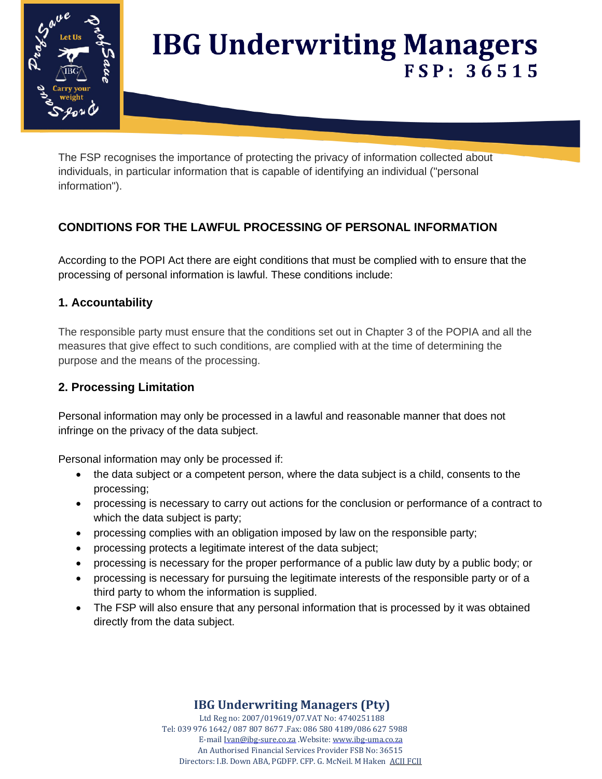

The FSP recognises the importance of protecting the privacy of information collected about individuals, in particular information that is capable of identifying an individual ("personal information").

# **CONDITIONS FOR THE LAWFUL PROCESSING OF PERSONAL INFORMATION**

According to the POPI Act there are eight conditions that must be complied with to ensure that the processing of personal information is lawful. These conditions include:

#### **1. Accountability**

The responsible party must ensure that the conditions set out in Chapter 3 of the POPIA and all the measures that give effect to such conditions, are complied with at the time of determining the purpose and the means of the processing.

#### **2. Processing Limitation**

Personal information may only be processed in a lawful and reasonable manner that does not infringe on the privacy of the data subject.

Personal information may only be processed if:

- the data subject or a competent person, where the data subject is a child, consents to the processing;
- processing is necessary to carry out actions for the conclusion or performance of a contract to which the data subject is party;
- processing complies with an obligation imposed by law on the responsible party;
- processing protects a legitimate interest of the data subject;
- processing is necessary for the proper performance of a public law duty by a public body; or
- processing is necessary for pursuing the legitimate interests of the responsible party or of a third party to whom the information is supplied.
- The FSP will also ensure that any personal information that is processed by it was obtained directly from the data subject.

### **IBG Underwriting Managers (Pty)**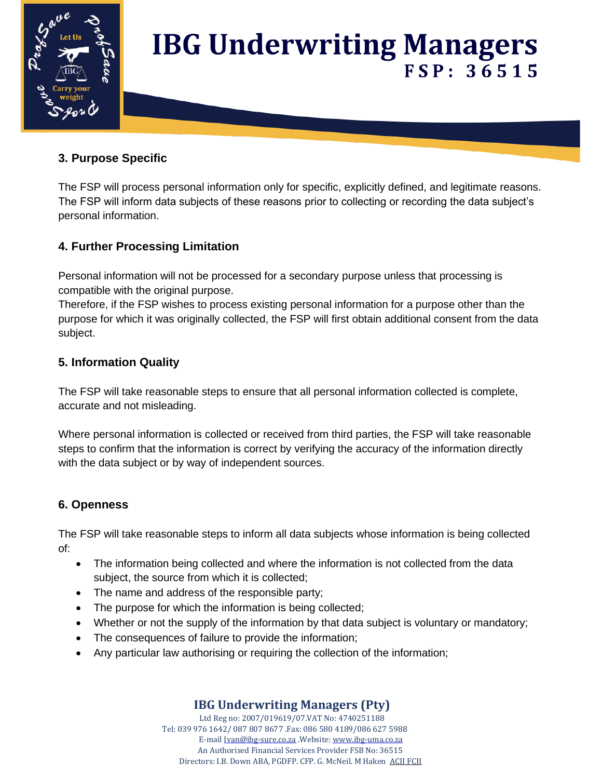

#### **3. Purpose Specific**

The FSP will process personal information only for specific, explicitly defined, and legitimate reasons. The FSP will inform data subjects of these reasons prior to collecting or recording the data subject's personal information.

#### **4. Further Processing Limitation**

Personal information will not be processed for a secondary purpose unless that processing is compatible with the original purpose.

Therefore, if the FSP wishes to process existing personal information for a purpose other than the purpose for which it was originally collected, the FSP will first obtain additional consent from the data subject.

#### **5. Information Quality**

The FSP will take reasonable steps to ensure that all personal information collected is complete, accurate and not misleading.

Where personal information is collected or received from third parties, the FSP will take reasonable steps to confirm that the information is correct by verifying the accuracy of the information directly with the data subject or by way of independent sources.

### **6. Openness**

The FSP will take reasonable steps to inform all data subjects whose information is being collected of:

- The information being collected and where the information is not collected from the data subject, the source from which it is collected;
- The name and address of the responsible party;
- The purpose for which the information is being collected;
- Whether or not the supply of the information by that data subject is voluntary or mandatory;
- The consequences of failure to provide the information;
- Any particular law authorising or requiring the collection of the information;

### **IBG Underwriting Managers (Pty)**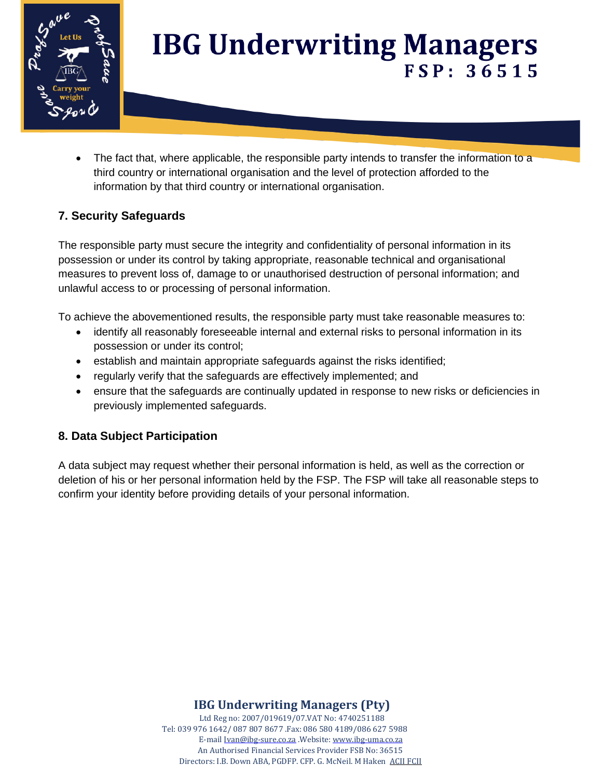

• The fact that, where applicable, the responsible party intends to transfer the information to a third country or international organisation and the level of protection afforded to the information by that third country or international organisation.

#### **7. Security Safeguards**

The responsible party must secure the integrity and confidentiality of personal information in its possession or under its control by taking appropriate, reasonable technical and organisational measures to prevent loss of, damage to or unauthorised destruction of personal information; and unlawful access to or processing of personal information.

To achieve the abovementioned results, the responsible party must take reasonable measures to:

- identify all reasonably foreseeable internal and external risks to personal information in its possession or under its control;
- establish and maintain appropriate safeguards against the risks identified;
- regularly verify that the safeguards are effectively implemented; and
- ensure that the safeguards are continually updated in response to new risks or deficiencies in previously implemented safeguards.

#### **8. Data Subject Participation**

A data subject may request whether their personal information is held, as well as the correction or deletion of his or her personal information held by the FSP. The FSP will take all reasonable steps to confirm your identity before providing details of your personal information.

**IBG Underwriting Managers (Pty)**